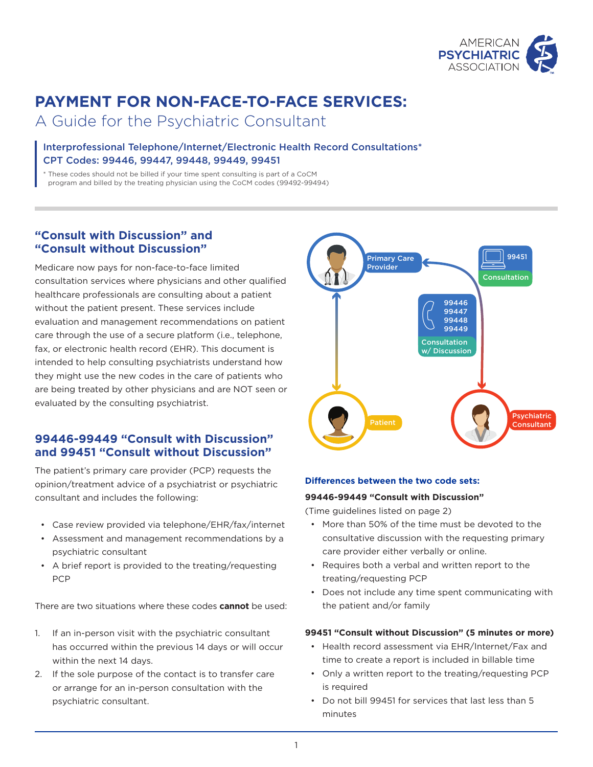

# **PAYMENT FOR NON-FACE-TO-FACE SERVICES:**

A Guide for the Psychiatric Consultant

# Interprofessional Telephone/Internet/Electronic Health Record Consultations\* CPT Codes: 99446, 99447, 99448, 99449, 99451

\* These codes should not be billed if your time spent consulting is part of a CoCM program and billed by the treating physician using the CoCM codes (99492-99494)

# **"Consult with Discussion" and "Consult without Discussion"**

Medicare now pays for non-face-to-face limited consultation services where physicians and other qualified healthcare professionals are consulting about a patient without the patient present. These services include evaluation and management recommendations on patient care through the use of a secure platform (i.e., telephone, fax, or electronic health record (EHR). This document is intended to help consulting psychiatrists understand how they might use the new codes in the care of patients who are being treated by other physicians and are NOT seen or evaluated by the consulting psychiatrist.

# **99446-99449 "Consult with Discussion" and 99451 "Consult without Discussion"**

The patient's primary care provider (PCP) requests the opinion/treatment advice of a psychiatrist or psychiatric consultant and includes the following:

- Case review provided via telephone/EHR/fax/internet
- Assessment and management recommendations by a psychiatric consultant
- A brief report is provided to the treating/requesting PCP

There are two situations where these codes **cannot** be used:

- 1. If an in-person visit with the psychiatric consultant has occurred within the previous 14 days or will occur within the next 14 days.
- 2. If the sole purpose of the contact is to transfer care or arrange for an in-person consultation with the psychiatric consultant.



## **Differences between the two code sets:**

## **99446-99449 "Consult with Discussion"**

(Time guidelines listed on page 2)

- More than 50% of the time must be devoted to the consultative discussion with the requesting primary care provider either verbally or online.
- Requires both a verbal and written report to the treating/requesting PCP
- Does not include any time spent communicating with the patient and/or family

## **99451 "Consult without Discussion" (5 minutes or more)**

- Health record assessment via EHR/Internet/Fax and time to create a report is included in billable time
- Only a written report to the treating/requesting PCP is required
- Do not bill 99451 for services that last less than 5 minutes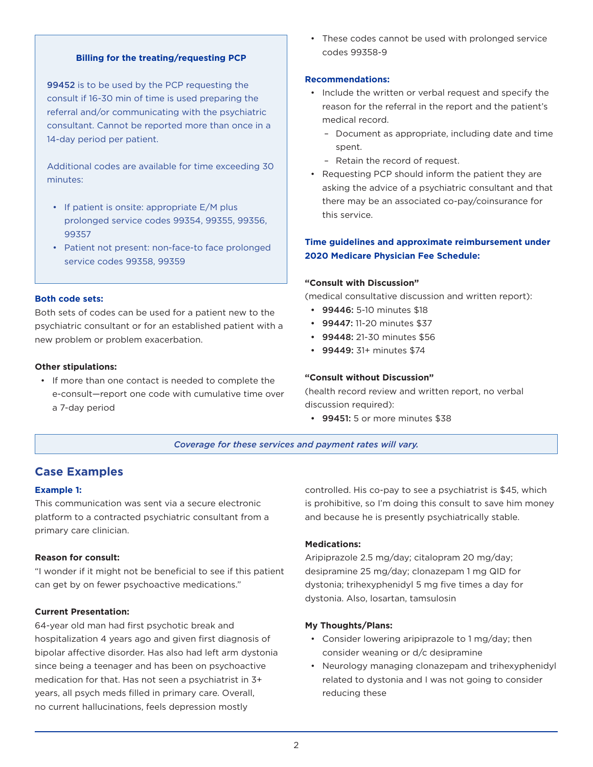## **Billing for the treating/requesting PCP**

99452 is to be used by the PCP requesting the consult if 16-30 min of time is used preparing the referral and/or communicating with the psychiatric consultant. Cannot be reported more than once in a 14-day period per patient.

Additional codes are available for time exceeding 30 minutes:

- If patient is onsite: appropriate E/M plus prolonged service codes 99354, 99355, 99356, 99357
- Patient not present: non-face-to face prolonged service codes 99358, 99359

#### **Both code sets:**

Both sets of codes can be used for a patient new to the psychiatric consultant or for an established patient with a new problem or problem exacerbation.

## **Other stipulations:**

• If more than one contact is needed to complete the e-consult—report one code with cumulative time over a 7-day period

• These codes cannot be used with prolonged service codes 99358-9

## **Recommendations:**

- Include the written or verbal request and specify the reason for the referral in the report and the patient's medical record.
	- Document as appropriate, including date and time spent.
	- Retain the record of request.
- Requesting PCP should inform the patient they are asking the advice of a psychiatric consultant and that there may be an associated co-pay/coinsurance for this service.

## **Time guidelines and approximate reimbursement under 2020 Medicare Physician Fee Schedule:**

#### **"Consult with Discussion"**

(medical consultative discussion and written report):

- 99446: 5-10 minutes \$18
- 99447: 11-20 minutes \$37
- 99448: 21-30 minutes \$56
- 99449: 31+ minutes \$74

#### **"Consult without Discussion"**

(health record review and written report, no verbal discussion required):

• 99451: 5 or more minutes \$38

*Coverage for these services and payment rates will vary.*

## **Case Examples**

#### **Example 1:**

This communication was sent via a secure electronic platform to a contracted psychiatric consultant from a primary care clinician.

#### **Reason for consult:**

"I wonder if it might not be beneficial to see if this patient can get by on fewer psychoactive medications."

## **Current Presentation:**

64-year old man had first psychotic break and hospitalization 4 years ago and given first diagnosis of bipolar affective disorder. Has also had left arm dystonia since being a teenager and has been on psychoactive medication for that. Has not seen a psychiatrist in 3+ years, all psych meds filled in primary care. Overall, no current hallucinations, feels depression mostly

controlled. His co-pay to see a psychiatrist is \$45, which is prohibitive, so I'm doing this consult to save him money and because he is presently psychiatrically stable.

## **Medications:**

Aripiprazole 2.5 mg/day; citalopram 20 mg/day; desipramine 25 mg/day; clonazepam 1 mg QID for dystonia; trihexyphenidyl 5 mg five times a day for dystonia. Also, losartan, tamsulosin

#### **My Thoughts/Plans:**

- Consider lowering aripiprazole to 1 mg/day; then consider weaning or d/c desipramine
- Neurology managing clonazepam and trihexyphenidyl related to dystonia and I was not going to consider reducing these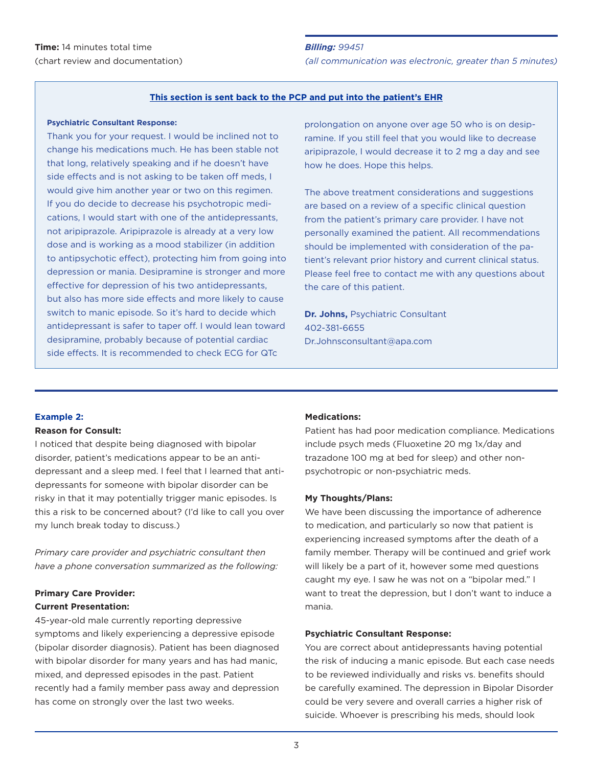#### **This section is sent back to the PCP and put into the patient's EHR**

#### **Psychiatric Consultant Response:**

Thank you for your request. I would be inclined not to change his medications much. He has been stable not that long, relatively speaking and if he doesn't have side effects and is not asking to be taken off meds, I would give him another year or two on this regimen. If you do decide to decrease his psychotropic medications, I would start with one of the antidepressants, not aripiprazole. Aripiprazole is already at a very low dose and is working as a mood stabilizer (in addition to antipsychotic effect), protecting him from going into depression or mania. Desipramine is stronger and more effective for depression of his two antidepressants, but also has more side effects and more likely to cause switch to manic episode. So it's hard to decide which antidepressant is safer to taper off. I would lean toward desipramine, probably because of potential cardiac side effects. It is recommended to check ECG for QTc

prolongation on anyone over age 50 who is on desipramine. If you still feel that you would like to decrease aripiprazole, I would decrease it to 2 mg a day and see how he does. Hope this helps.

The above treatment considerations and suggestions are based on a review of a specific clinical question from the patient's primary care provider. I have not personally examined the patient. All recommendations should be implemented with consideration of the patient's relevant prior history and current clinical status. Please feel free to contact me with any questions about the care of this patient.

**Dr. Johns,** Psychiatric Consultant 402-381-6655 Dr.Johnsconsultant@apa.com

## **Example 2:**

## **Reason for Consult:**

I noticed that despite being diagnosed with bipolar disorder, patient's medications appear to be an antidepressant and a sleep med. I feel that I learned that antidepressants for someone with bipolar disorder can be risky in that it may potentially trigger manic episodes. Is this a risk to be concerned about? (I'd like to call you over my lunch break today to discuss.)

*Primary care provider and psychiatric consultant then have a phone conversation summarized as the following:* 

## **Primary Care Provider: Current Presentation:**

45-year-old male currently reporting depressive symptoms and likely experiencing a depressive episode (bipolar disorder diagnosis). Patient has been diagnosed with bipolar disorder for many years and has had manic, mixed, and depressed episodes in the past. Patient recently had a family member pass away and depression has come on strongly over the last two weeks.

#### **Medications:**

Patient has had poor medication compliance. Medications include psych meds (Fluoxetine 20 mg 1x/day and trazadone 100 mg at bed for sleep) and other nonpsychotropic or non-psychiatric meds.

#### **My Thoughts/Plans:**

We have been discussing the importance of adherence to medication, and particularly so now that patient is experiencing increased symptoms after the death of a family member. Therapy will be continued and grief work will likely be a part of it, however some med questions caught my eye. I saw he was not on a "bipolar med." I want to treat the depression, but I don't want to induce a mania.

#### **Psychiatric Consultant Response:**

You are correct about antidepressants having potential the risk of inducing a manic episode. But each case needs to be reviewed individually and risks vs. benefits should be carefully examined. The depression in Bipolar Disorder could be very severe and overall carries a higher risk of suicide. Whoever is prescribing his meds, should look